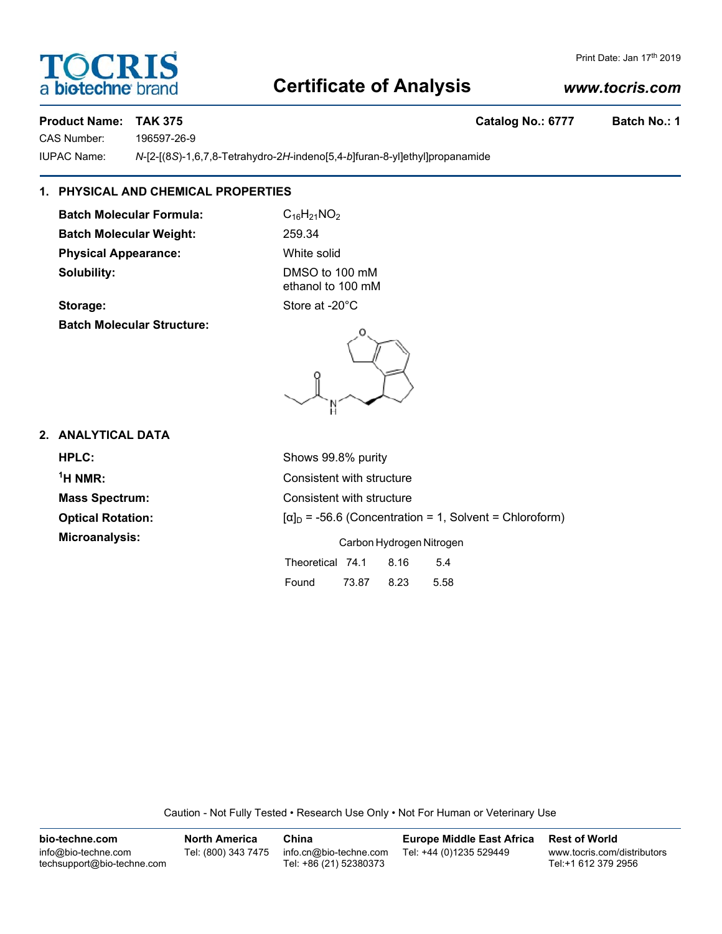# **Certificate of Analysis**

#### *www.tocris.com*

#### **Product Name: TAK 375 Catalog No.: 6777 Batch No.: 1**

a biotechne b

OCRIS

CAS Number: 196597-26-9

IUPAC Name: *N*-[2-[(8*S*)-1,6,7,8-Tetrahydro-2*H*-indeno[5,4-*b*]furan-8-yl]ethyl]propanamide

### **1. PHYSICAL AND CHEMICAL PROPERTIES**

**Batch Molecular Formula:** C<sub>16</sub>H<sub>21</sub>NO<sub>2</sub> **Batch Molecular Weight:** 259.34 **Physical Appearance:** White solid **Solubility:** DMSO to 100 mM

ethanol to 100 mM

Storage: Storage: Store at -20<sup>°</sup>C **Batch Molecular Structure:**

#### **2. ANALYTICAL DATA**

 $<sup>1</sup>H NMR$ :</sup>

**HPLC:** Shows 99.8% purity **Consistent with structure Mass Spectrum:** Consistent with structure **Optical Rotation:** [a]<sub>D</sub> = -56.6 (Concentration = 1, Solvent = Chloroform) **Microanalysis:** Carbon Hydrogen Nitrogen Theoretical 74.1 8.16 5.4

Caution - Not Fully Tested • Research Use Only • Not For Human or Veterinary Use

Found 73.87 8.23 5.58

| bio-techne.com                                    | <b>North America</b> | China                                            | <b>Europe Middle East Africa</b> | <b>Rest of World</b>                               |
|---------------------------------------------------|----------------------|--------------------------------------------------|----------------------------------|----------------------------------------------------|
| info@bio-techne.com<br>techsupport@bio-techne.com | Tel: (800) 343 7475  | info.cn@bio-techne.com<br>Tel: +86 (21) 52380373 | Tel: +44 (0)1235 529449          | www.tocris.com/distributors<br>Tel:+1 612 379 2956 |

Print Date: Jan 17th 2019